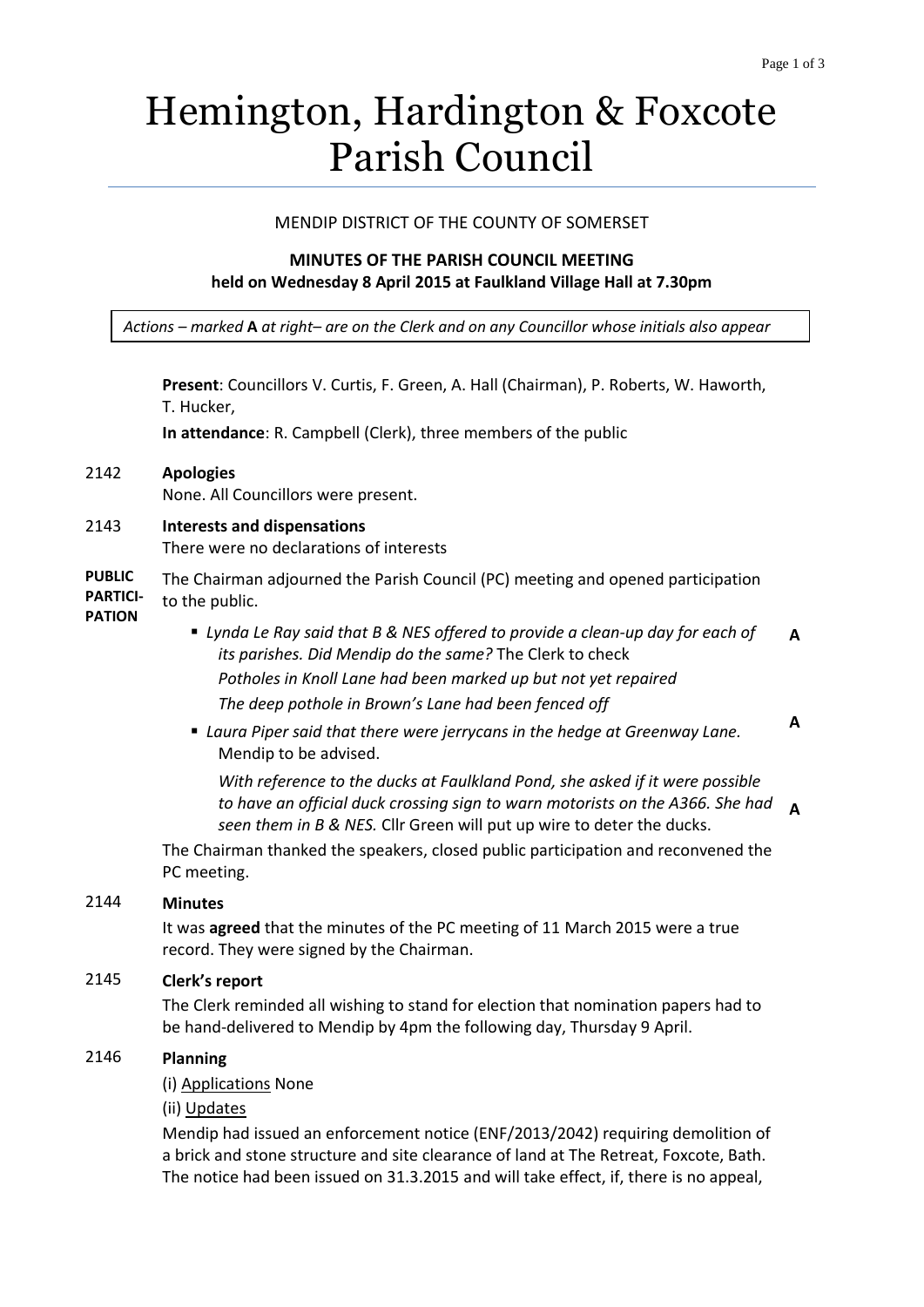# Hemington, Hardington & Foxcote Parish Council

## MENDIP DISTRICT OF THE COUNTY OF SOMERSET

# **MINUTES OF THE PARISH COUNCIL MEETING held on Wednesday 8 April 2015 at Faulkland Village Hall at 7.30pm**

*Actions – marked* **A** *at right– are on the Clerk and on any Councillor whose initials also appear*

**Present**: Councillors V. Curtis, F. Green, A. Hall (Chairman), P. Roberts, W. Haworth, T. Hucker,

**In attendance**: R. Campbell (Clerk), three members of the public

# 2142 **Apologies**

None. All Councillors were present.

2143 **Interests and dispensations**

There were no declarations of interests

**PUBLIC PARTICI-**The Chairman adjourned the Parish Council (PC) meeting and opened participation to the public.

- **PATION**
- *Lynda Le Ray said that B & NES offered to provide a clean-up day for each of its parishes. Did Mendip do the same?* The Clerk to check *Potholes in Knoll Lane had been marked up but not yet repaired The deep pothole in Brown's Lane had been fenced off* **A A**
- *Laura Piper said that there were jerrycans in the hedge at Greenway Lane.*  Mendip to be advised.

*With reference to the ducks at Faulkland Pond, she asked if it were possible to have an official duck crossing sign to warn motorists on the A366. She had seen them in B & NES.* Cllr Green will put up wire to deter the ducks. **A**

The Chairman thanked the speakers, closed public participation and reconvened the PC meeting.

### 2144 **Minutes**

It was **agreed** that the minutes of the PC meeting of 11 March 2015 were a true record. They were signed by the Chairman.

# 2145 **Clerk's report**

The Clerk reminded all wishing to stand for election that nomination papers had to be hand-delivered to Mendip by 4pm the following day, Thursday 9 April.

# 2146 **Planning**

(i) Applications None

(ii) Updates

Mendip had issued an enforcement notice (ENF/2013/2042) requiring demolition of a brick and stone structure and site clearance of land at The Retreat, Foxcote, Bath. The notice had been issued on 31.3.2015 and will take effect, if, there is no appeal,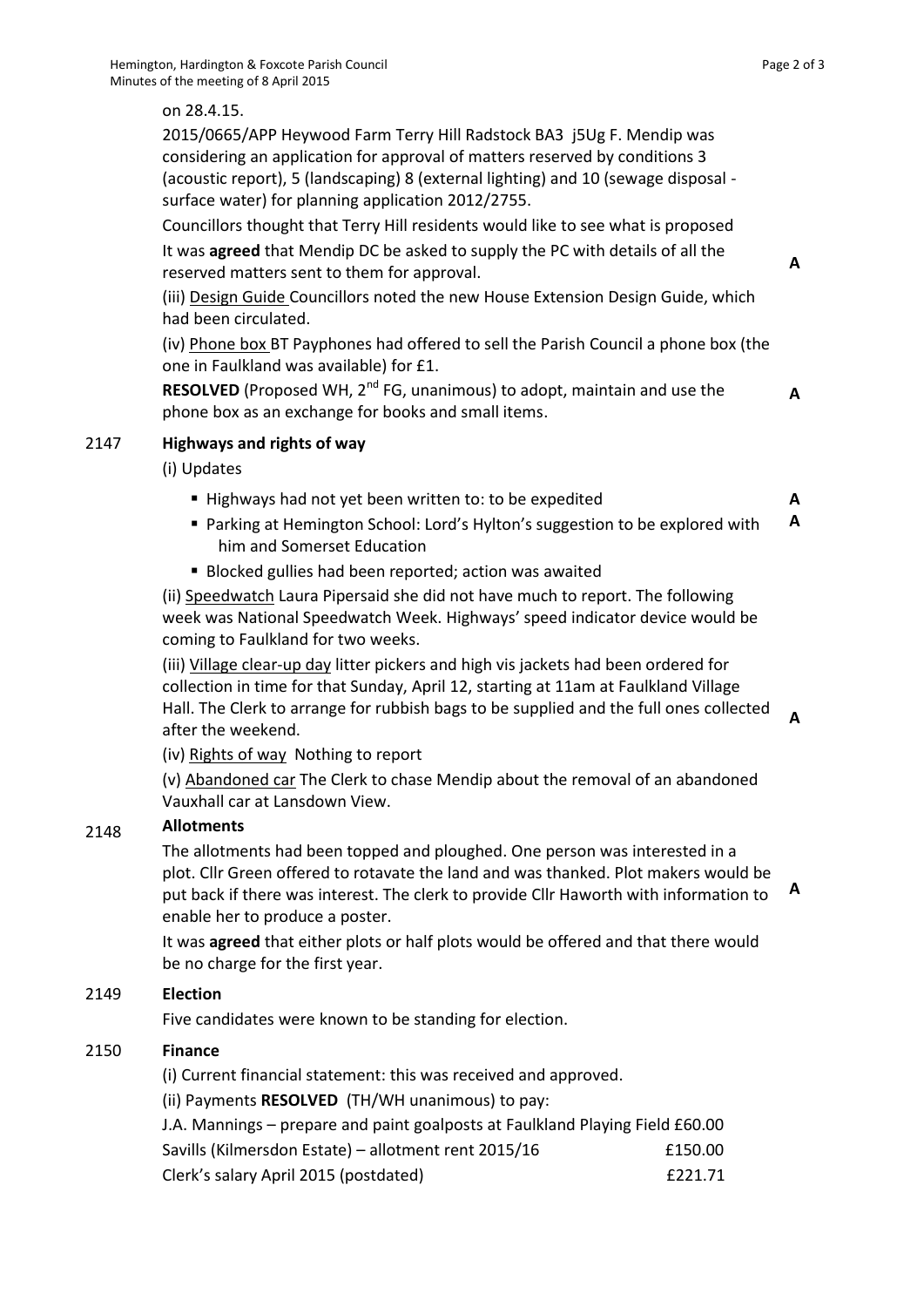### on 28.4.15.

2015/0665/APP Heywood Farm Terry Hill Radstock BA3 j5Ug F. Mendip was considering an application for approval of matters reserved by conditions 3 (acoustic report), 5 (landscaping) 8 (external lighting) and 10 (sewage disposal surface water) for planning application 2012/2755.

Councillors thought that Terry Hill residents would like to see what is proposed It was **agreed** that Mendip DC be asked to supply the PC with details of all the reserved matters sent to them for approval.

(iii) Design Guide Councillors noted the new House Extension Design Guide, which had been circulated.

(iv) Phone box BT Payphones had offered to sell the Parish Council a phone box (the one in Faulkland was available) for £1.

**RESOLVED** (Proposed WH, 2<sup>nd</sup> FG, unanimous) to adopt, maintain and use the phone box as an exchange for books and small items.

### 2147 **Highways and rights of way**

(i) Updates

- Highways had not yet been written to: to be expedited
- Parking at Hemington School: Lord's Hylton's suggestion to be explored with him and Somerset Education **A**
- Blocked gullies had been reported; action was awaited

(ii) Speedwatch Laura Pipersaid she did not have much to report. The following week was National Speedwatch Week. Highways' speed indicator device would be coming to Faulkland for two weeks.

(iii) Village clear-up day litter pickers and high vis jackets had been ordered for collection in time for that Sunday, April 12, starting at 11am at Faulkland Village Hall. The Clerk to arrange for rubbish bags to be supplied and the full ones collected after the weekend. **A**

(iv) Rights of way Nothing to report

(v) Abandoned car The Clerk to chase Mendip about the removal of an abandoned Vauxhall car at Lansdown View.

#### 2148 **Allotments**

The allotments had been topped and ploughed. One person was interested in a plot. Cllr Green offered to rotavate the land and was thanked. Plot makers would be put back if there was interest. The clerk to provide Cllr Haworth with information to enable her to produce a poster.

It was **agreed** that either plots or half plots would be offered and that there would be no charge for the first year.

### 2149 **Election**

Five candidates were known to be standing for election.

#### 2150 **Finance**

(i) Current financial statement: this was received and approved.

(ii) Payments **RESOLVED** (TH/WH unanimous) to pay:

| J.A. Mannings - prepare and paint goalposts at Faulkland Playing Field £60.00 |         |
|-------------------------------------------------------------------------------|---------|
| Savills (Kilmersdon Estate) – allotment rent 2015/16                          | £150.00 |
| Clerk's salary April 2015 (postdated)                                         | f221.71 |

**A**

**A**

**A**

**A**